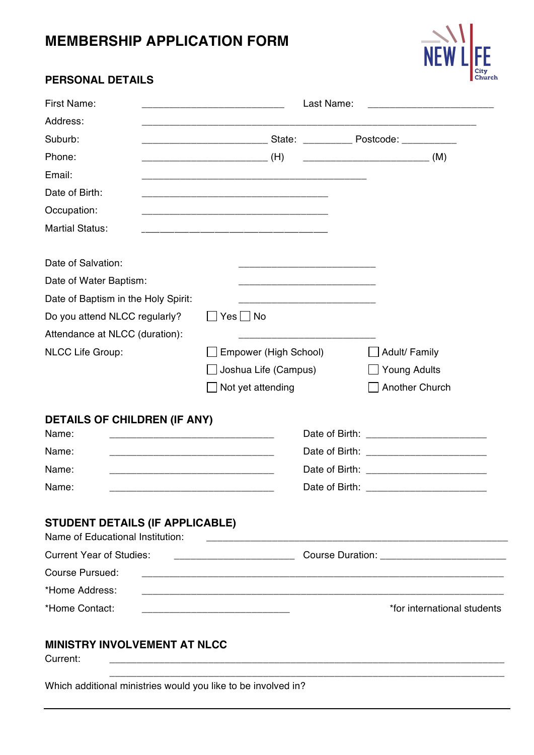# **MEMBERSHIP APPLICATION FORM**



# **PERSONAL DETAILS**

| <b>First Name:</b>                                                                                                            | Last Name:<br><u> 1980 - Jan James James Barbara, martin a</u>                                                        |                             |  |
|-------------------------------------------------------------------------------------------------------------------------------|-----------------------------------------------------------------------------------------------------------------------|-----------------------------|--|
| Address:                                                                                                                      |                                                                                                                       |                             |  |
| Suburb:                                                                                                                       |                                                                                                                       |                             |  |
| Phone:                                                                                                                        |                                                                                                                       | (M)                         |  |
| Email:                                                                                                                        |                                                                                                                       |                             |  |
| Date of Birth:                                                                                                                |                                                                                                                       |                             |  |
| Occupation:                                                                                                                   |                                                                                                                       |                             |  |
| <b>Martial Status:</b>                                                                                                        |                                                                                                                       |                             |  |
| Date of Salvation:                                                                                                            |                                                                                                                       |                             |  |
| Date of Water Baptism:                                                                                                        |                                                                                                                       |                             |  |
| Date of Baptism in the Holy Spirit:                                                                                           |                                                                                                                       |                             |  |
| Do you attend NLCC regularly?                                                                                                 | Yes No                                                                                                                |                             |  |
| Attendance at NLCC (duration):                                                                                                |                                                                                                                       |                             |  |
| NLCC Life Group:                                                                                                              | Empower (High School)                                                                                                 | Adult/ Family               |  |
|                                                                                                                               | Joshua Life (Campus)                                                                                                  | <b>Young Adults</b>         |  |
|                                                                                                                               | Not yet attending                                                                                                     | Another Church              |  |
| <b>DETAILS OF CHILDREN (IF ANY)</b>                                                                                           |                                                                                                                       |                             |  |
| Name:                                                                                                                         | <u> 1989 - Johann John Stone, markin film yn y brening yn y brening yn y brening yn y brening yn y brening yn y b</u> |                             |  |
| Name:<br><u> 1989 - Johann John Stone, markin film yn y brening yn y brening yn y brening yn y brening yn y brening y bre</u> |                                                                                                                       |                             |  |
| Name:<br><u> 1980 - Johann John Stone, markin film yn y brenin y brenin y brenin y brenin y brenin y brenin y brenin y br</u> |                                                                                                                       |                             |  |
| Name:                                                                                                                         |                                                                                                                       |                             |  |
| <b>STUDENT DETAILS (IF APPLICABLE)</b><br>Name of Educational Institution:                                                    |                                                                                                                       |                             |  |
| <b>Current Year of Studies:</b>                                                                                               |                                                                                                                       |                             |  |
| Course Pursued:                                                                                                               | <u> 2000 - Januar Alexander (</u>                                                                                     |                             |  |
| *Home Address:                                                                                                                | <u> 1980 - Johann John Stone, mars eta biztanleria (h. 1980).</u>                                                     |                             |  |
| *Home Contact:                                                                                                                |                                                                                                                       | *for international students |  |
|                                                                                                                               |                                                                                                                       |                             |  |
| MINISTRY INVOLVEMENT AT NLCC<br>Current:                                                                                      | <u> 1989 - Johann Harry Harry Harry Harry Harry Harry Harry Harry Harry Harry Harry Harry Harry Harry Harry Harry</u> |                             |  |

Which additional ministries would you like to be involved in?